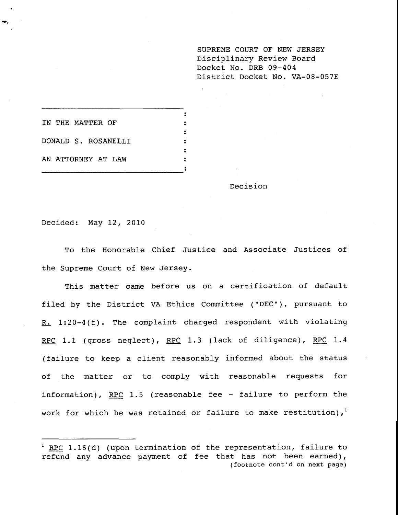**SUPREME COURT OF NEW JERSEY** Disciplinary Review Board Docket No. DRB 09-404 District Docket No. VA-08-057E

 $\ddot{\mathbf{z}}$ **IN THE MATTER OF**  $\ddot{\phantom{a}}$ DONALD S. ROSANELLI  $\bullet$ AN ATTORNEY AT LAW

Decision

Decided: May 12, 2010

To the Honorable Chief Justice and Associate Justices of the Supreme Court of New Jersey.

This matter came before us on a certification of default filed by the District VA Ethics Committee ("DEC"), pursuant to R. 1:20-4(f). The complaint charged respondent with violating RPC 1.1 (gross neglect), RPC 1.3 (lack of diligence), RPC 1.4 (failure to keep a client reasonably informed about the status of the matter or to comply with reasonable requests for information), RPC 1.5 (reasonable fee - failure to perform the work for which he was retained or failure to make restitution), $1$ 

<sup>&</sup>lt;sup>1</sup> RPC 1.16(d) (upon termination of the representation, failure to refund any advance payment of fee that has not been earned), (footnote cont'd on next page)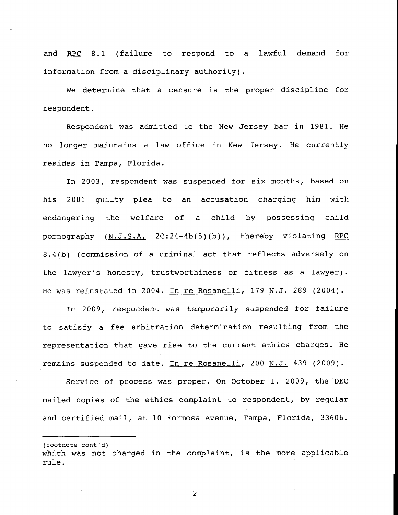and RPC 8.1 (failure to respond to a lawful demand for information from a disciplinary authority).

We determine that a censure is the proper discipline for respondent.

Respondent was admitted to the New Jersey bar in 1981. He no longer maintains a law office in New Jersey. He currently resides in Tampa, Florida.

In 2003, respondent was suspended for six months, based on his 2001 guilty plea to an accusation charging him with endangering the welfare of a child by possessing child pornography (N.J.S.A. 2C:24-4b(5)(b)), thereby violating RPC 8.4(b) (commission of a criminal act that reflects adversely on the lawyer's honesty, trustworthiness or fitness as a lawyer). He was reinstated in 2004. In re Rosanelli, 179 N.J. 289 (2004).

In 2009, respondent was temporarily suspended for failure to satisfy a fee arbitration determination resulting from the representation that gave rise to the current ethics charges. He remains suspended to date. In re Rosanelli, 200 N.J. 439 (2009).

Service of process was proper. On October i, 2009, the DEC mailed copies of the ethics complaint to respondent, by regular and certified mail, at i0 Formosa Avenue, Tampa, Florida, 33606.

(footnote cont'd) which was not charged in the complaint, is the more applicable rule.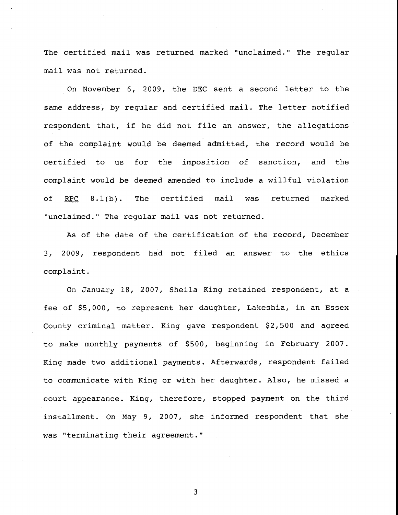The certified mail was returned marked "unclaimed." The regular mail was not returned.

On November 6, 2009, the DEC sent a second letter to the same address, by regular and certified mail. The letter notified respondent that, if he did not file an answer, the allegations of the complaint would be deemed admitted, the record would be certified to us for the imposition of sanction, and the complaint would be deemed amended to include a willful violation of RPC 8.1(b). The certified mail was returned marked "unclaimed." The regular mail was not returned.

As of the date of the certification of the record, December 3, 2009, respondent had not filed an answer to the ethics complaint.

On January 18, 2007, Sheila King retained respondent, at a fee of \$5,000, to represent her daughter, Lakeshia, in an Essex County criminal matter. King gave respondent \$2,500 and agreed to make monthly payments of \$500, beginning in February 2007. King made two additional payments. Afterwards, respondent failed to communicate with King or with her daughter. Also, he missed a court appearance. King, therefore, stopped payment on the third installment. On May 9, 2007, she informed respondent that she was "terminating their agreement."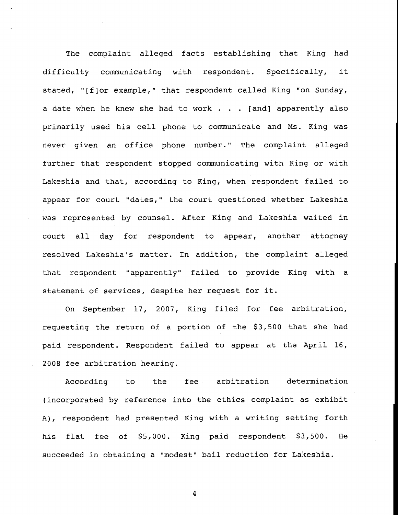The complaint alleged facts establishing that King had difficulty communicating with respondent. Specifically, it stated, "[f]or example," that respondent called King "on Sunday, a date when he knew she had to work . . . [and] apparently also primarily used his cell phone to communicate and Ms. King was never given an office phone number." The complaint alleged further that respondent stopped communicating with King or with Lakeshia and that, according to King, when respondent failed to appear for court "dates," the court questioned whether Lakeshia was represented by counsel. After King and Lakeshia waited in court all day for respondent to appear, another attorney resolved Lakeshia's matter. In addition, the complaint alleged that respondent "apparently" failed to provide King with a statement of services, despite her request for it.

On September 17, 2007, King filed for fee arbitration, requesting the return of a portion of the \$3,500 that she had paid respondent. Respondent failed to appear at the April 16, 2008 fee arbitration hearing.

According to the fee arbitration determination (incorporated by reference into the ethics complaint as exhibit A), respondent had presented King with a writing setting forth his flat fee of \$5,000. King paid respondent \$3,500. He succeeded in obtaining a "modest" bail reduction for Lakeshia.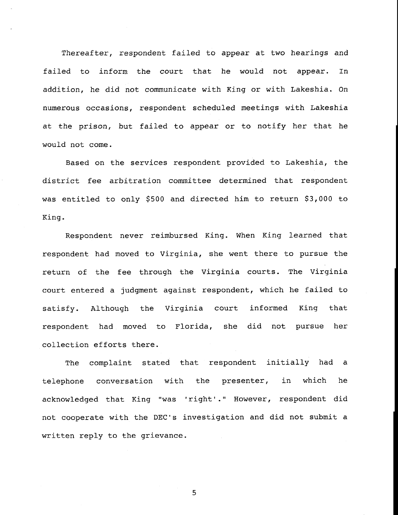Thereafter, respondent failed to appear at two hearings and failed to inform the court that he would not appear. In addition, he did not communicate with King or with Lakeshia. On numerous occasions, respondent scheduled meetings with Lakeshia at the prison, but failed to appear or to notify her that he would not come.

Based on the services respondent provided to Lakeshia, the district fee arbitration committee determined that respondent was entitled to only \$500 and directed him to return \$3,000 to King.

Respondent never reimbursed King. When King learned that respondent had moved to Virginia, she went there to pursue the return of the fee through the Virginia courts. The Virginia court entered a judgment against respondent, which he failed to satisfy. Although the Virginia court informed King that respondent had moved to Florida, collection efforts there. she did not pursue her

The complaint stated that respondent initially had a telephone conversation with the presenter, in which he acknowledged that King "was 'right'." However, respondent did not cooperate with the DEC's investigation and did not submit a written reply to the grievance.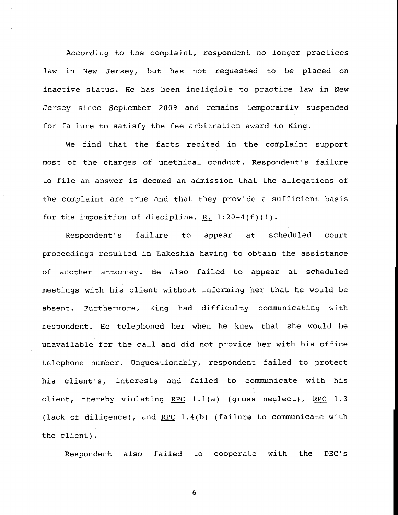According to the complaint, respondent no longer practices law in New Jersey, but has not requested to be placed on inactive status. He has been ineligible to practice law in New Jersey since September 2009 and remains temporarily suspended for failure to satisfy the fee arbitration award to King.

We find that the facts recited in the complaint support most of the charges of unethical conduct. Respondent's failure to file an answer is deemed an admission that the allegations of the complaint are true and that they provide a sufficient basis for the imposition of discipline. R.  $1:20-4(f)(1)$ .

Respondent's failure to appear at scheduled court proceedings resulted in Lakeshia having to obtain the assistance of another attorney. He also failed to appear at scheduled meetings with his client without informing her that he would be absent. Furthermore, King had difficulty communicating with respondent. He telephoned her when he knew that she would be unavailable for the call and did not provide her with his office telephone number. Unquestionably, respondent failed to protect his client's, interests and failed to communicate with his client, thereby violating RPC 1.1(a) (gross neglect), RPC 1.3 (lack of diligence), and RPC  $1.4(b)$  (failure to communicate with the client).

Respondent also failed to cooperate with the DEC's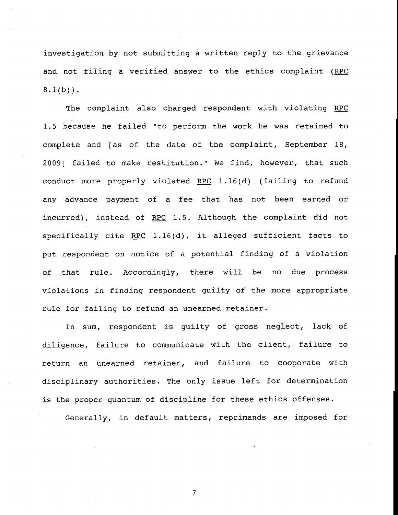investigation by not submitting a written reply to the grievance and not filing a verified answer to the ethics complaint (RPC  $8.1(b)$ ).

The complaint also charged respondent with violating RPC 1.5 because he failed "to perform the work he was retained to complete and [as of the date of the complaint, September 18, 2009] failed to make restitution." We find, however, that such conduct more properly violated RPC  $1.16(d)$  (failing to refund any advance payment of a fee that has not been earned or incurred), instead of RPC 1.5. Although the complaint did not specifically cite RPC  $1.16(d)$ , it alleged sufficient facts to put respondent on notice of a potential finding of a violation of that rule. Accordingly, there will be no due process violations in finding respondent guilty of the more appropriate rule for failing to refund an unearned retainer.

In sum, respondent is guilty of gross neglect, lack of diligence, failure to communicate with the client, failure to return an unearned retainer, and failure to cooperate with disciplinary authorities. The only issue left for determination is the proper quantum of discipline for these ethics offenses.

Generally, in default matters, reprimands are imposed for

 $\overline{7}$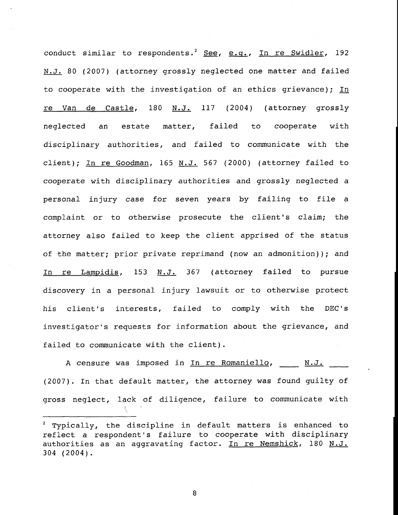conduct similar to respondents.<sup>2</sup> See, e.g., In re Swidler, 192 N.J. 80 (2007) (attorney grossly neglected one matter and failed to cooperate with the investigation of an ethics grievance); In re Van de Castle, 180 N.J. 117 (2004) (attorney grossly neglected an estate matter, failed to cooperate with disciplinary authorities, and failed to communicate with the client); In re Goodman, 165 N.J. 567 (2000) (attorney failed to cooperate with disciplinary authorities and grossly neglected a personal injury case for seven years by failing to file a complaint or to otherwise prosecute the client's claim; the attorney also failed to keep the client apprised of the status of the matter; prior private reprimand (now an admonition)); and In re Lampidis, 153 N.J. 367 (attorney failed to pursue discovery in a personal injury lawsuit or to otherwise protect his client's interests, failed to comply with the DEC's investigator's requests for information about the grievance, and failed to communicate with the client).

A censure was imposed in In re Romaniello, N.J. (2007). In that default matter, the attorney was found guilty of gross neglect, lack of diligence, failure to communicate with

 $2$  Typically, the discipline in default matters is enhanced to reflect a respondent's failure to cooperate with disciplinary authorities as an aggravating factor. In re Nemshick, 180 N.J. 304 (2004).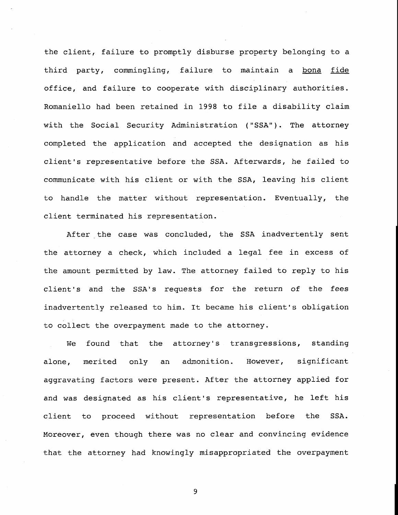the client, failure to promptly disburse property belonging to a third party, commingling, failure to maintain a bona fide office, and failure to cooperate with disciplinary authorities. Romaniello had been retained in 1998 to file a disability claim with the Social Security Administration ("SSA"). The attorney completed the application and accepted the designation as his client's representative before the SSA. Afterwards, he failed to communicate with his client or with the SSA, leaving his client to handle the matter without representation. Eventually, the client terminated his representation.

After the case was concluded, the SSA inadvertently sent the attorney a check, which included a legal fee in excess of the amount permitted by law. The attorney failed to reply to his client's and the SSA's requests for the return of the fees inadvertently released to him. It became his client's obligation to collect the overpayment made to the attorney.

We found that the attorney's transgressions, standing alone, merited only an admonition. However, significant aggravating factors were present. After the attorney applied for and was designated as his client's representative, he left his client to proceed without representation before the SSA. Moreover, even though there was no clear and convincing evidence that the attorney had knowingly misappropriated the overpayment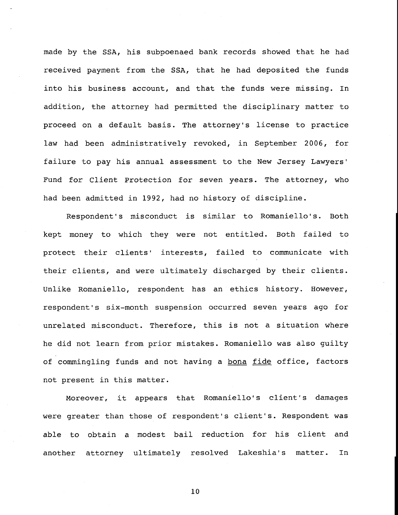made by the SSA, his subpoenaed bank records showed that he had received payment from the SSA, that he had deposited the funds into his business account, and that the funds were missing. In addition, the attorney had permitted the disciplinary matter to proceed on a default basis. The attorney's license to practice law had been administratively revoked, in September 2006, for failure to pay his annual assessment to the New Jersey Lawyers' Fund for Client Protection for seven years. The attorney, who had been admitted in 1992, had no history of discipline.

Respondent's misconduct is similar to Romaniello's. Both kept money to which they were not entitled. Both failed to protect their clients' interests, failed to communicate with their clients, and were ultimately discharged by their clients. Unlike Romaniello, respondent has an ethics history. However, respondent's six-month suspension occurred seven years ago for unrelated misconduct. Therefore, this is not a situation where he did not learn from prior mistakes. Romaniello was also guilty of commingling funds and not having a bona fide office, factors not present in this matter.

Moreover, it appears that Romaniello's client's damages were greater than those of respondent's client's. Respondent was able to obtain a modest bail reduction for his client and another attorney ultimately resolved Lakeshia's matter. In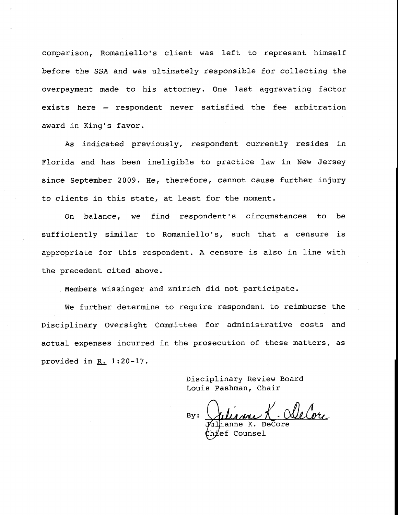comparison, Romaniello's client was left to represent himself before the SSA and was ultimately responsible for collecting the overpayment made to his attorney. One last aggravating factor exists here - respondent never satisfied the fee arbitration award in King's favor.

As indicated previously, respondent currently resides in Florida and has been ineligible to practice law in New Jersey since September 2009. He, therefore, cannot cause further injury to clients in this state, at least for the moment.

On balance, we find respondent's circumstances to be sufficiently similar to Romaniello's, such that a censure is appropriate for this respondent. A censure is also in line with the precedent cited above.

Members Wissinger and Zmirich did not participate.

We further determine to require respondent to reimburse the Disciplinary Oversight Committee for administrative costs and actual expenses incurred in the prosecution of these matters, as provided in  $R. 1:20-17$ .

> Disciplinary Review Board Louis Pashman, Chair

By:

ne K. DeCore ef Counsel